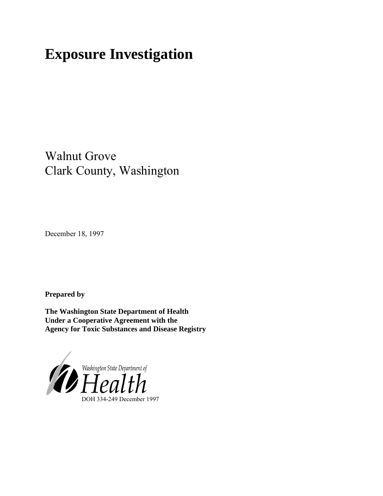# **Exposure Investigation**

Walnut Grove Clark County, Washington

December 18, 1997

**Prepared by**

**The Washington State Department of Health Under a Cooperative Agreement with the Agency for Toxic Substances and Disease Registry**

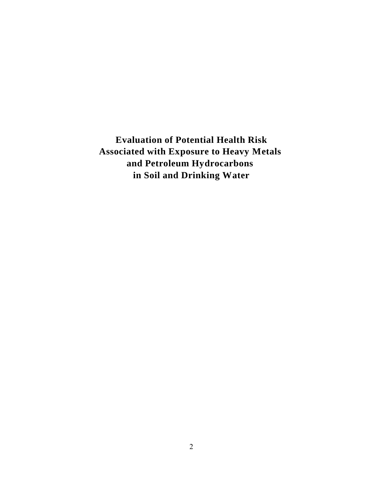**Evaluation of Potential Health Risk Associated with Exposure to Heavy Metals and Petroleum Hydrocarbons in Soil and Drinking Water**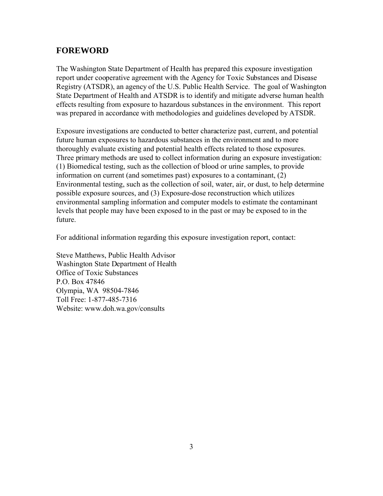# **FOREWORD**

The Washington State Department of Health has prepared this exposure investigation report under cooperative agreement with the Agency for Toxic Substances and Disease Registry (ATSDR), an agency of the U.S. Public Health Service. The goal of Washington State Department of Health and ATSDR is to identify and mitigate adverse human health effects resulting from exposure to hazardous substances in the environment. This report was prepared in accordance with methodologies and guidelines developed by ATSDR.

Exposure investigations are conducted to better characterize past, current, and potential future human exposures to hazardous substances in the environment and to more thoroughly evaluate existing and potential health effects related to those exposures. Three primary methods are used to collect information during an exposure investigation: (1) Biomedical testing, such as the collection of blood or urine samples, to provide information on current (and sometimes past) exposures to a contaminant, (2) Environmental testing, such as the collection of soil, water, air, or dust, to help determine possible exposure sources, and (3) Exposure-dose reconstruction which utilizes environmental sampling information and computer models to estimate the contaminant levels that people may have been exposed to in the past or may be exposed to in the future.

For additional information regarding this exposure investigation report, contact:

Steve Matthews, Public Health Advisor Washington State Department of Health Office of Toxic Substances P.O. Box 47846 Olympia, WA 98504-7846 Toll Free: 1-877-485-7316 Website: www.doh.wa.gov/consults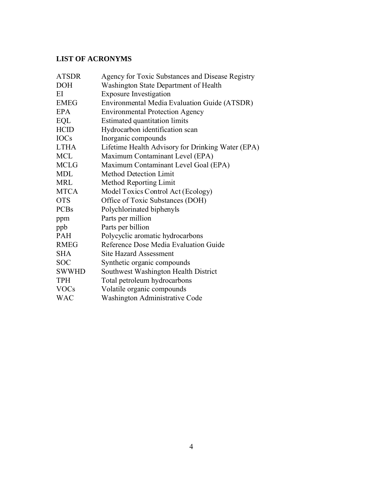## **LIST OF ACRONYMS**

| <b>ATSDR</b> | Agency for Toxic Substances and Disease Registry    |
|--------------|-----------------------------------------------------|
| <b>DOH</b>   | Washington State Department of Health               |
| EI           | <b>Exposure Investigation</b>                       |
| EMEG         | <b>Environmental Media Evaluation Guide (ATSDR)</b> |
| EPA          | <b>Environmental Protection Agency</b>              |
| EQL          | <b>Estimated quantitation limits</b>                |
| <b>HCID</b>  | Hydrocarbon identification scan                     |
| <b>IOCs</b>  | Inorganic compounds                                 |
| <b>LTHA</b>  | Lifetime Health Advisory for Drinking Water (EPA)   |
| <b>MCL</b>   | Maximum Contaminant Level (EPA)                     |
| <b>MCLG</b>  | Maximum Contaminant Level Goal (EPA)                |
| <b>MDL</b>   | <b>Method Detection Limit</b>                       |
| <b>MRL</b>   | <b>Method Reporting Limit</b>                       |
| <b>MTCA</b>  | Model Toxics Control Act (Ecology)                  |
| <b>OTS</b>   | Office of Toxic Substances (DOH)                    |
| <b>PCBs</b>  | Polychlorinated biphenyls                           |
| ppm          | Parts per million                                   |
| ppb          | Parts per billion                                   |
| <b>PAH</b>   | Polycyclic aromatic hydrocarbons                    |
| <b>RMEG</b>  | Reference Dose Media Evaluation Guide               |
| <b>SHA</b>   | <b>Site Hazard Assessment</b>                       |
| <b>SOC</b>   | Synthetic organic compounds                         |
| <b>SWWHD</b> | Southwest Washington Health District                |
| <b>TPH</b>   | Total petroleum hydrocarbons                        |
| <b>VOCs</b>  | Volatile organic compounds                          |
| <b>WAC</b>   | Washington Administrative Code                      |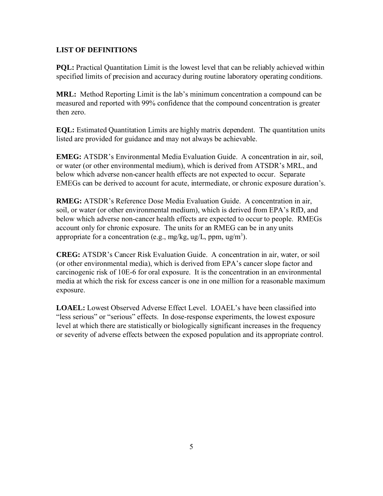## **LIST OF DEFINITIONS**

**PQL:** Practical Quantitation Limit is the lowest level that can be reliably achieved within specified limits of precision and accuracy during routine laboratory operating conditions.

**MRL:** Method Reporting Limit is the lab's minimum concentration a compound can be measured and reported with 99% confidence that the compound concentration is greater then zero.

**EQL:** Estimated Quantitation Limits are highly matrix dependent. The quantitation units listed are provided for guidance and may not always be achievable.

**EMEG:** ATSDR's Environmental Media Evaluation Guide. A concentration in air, soil, or water (or other environmental medium), which is derived from ATSDR's MRL, and below which adverse non-cancer health effects are not expected to occur. Separate EMEGs can be derived to account for acute, intermediate, or chronic exposure duration's.

**RMEG:** ATSDR's Reference Dose Media Evaluation Guide. A concentration in air, soil, or water (or other environmental medium), which is derived from EPA's RfD, and below which adverse non-cancer health effects are expected to occur to people. RMEGs account only for chronic exposure. The units for an RMEG can be in any units appropriate for a concentration (e.g., mg/kg, ug/L, ppm, ug/m<sup>3</sup>).

**CREG:** ATSDR's Cancer Risk Evaluation Guide. A concentration in air, water, or soil (or other environmental media), which is derived from EPA's cancer slope factor and carcinogenic risk of 10E-6 for oral exposure. It is the concentration in an environmental media at which the risk for excess cancer is one in one million for a reasonable maximum exposure.

**LOAEL:** Lowest Observed Adverse Effect Level. LOAEL's have been classified into "less serious" or "serious" effects. In dose-response experiments, the lowest exposure level at which there are statistically or biologically significant increases in the frequency or severity of adverse effects between the exposed population and its appropriate control.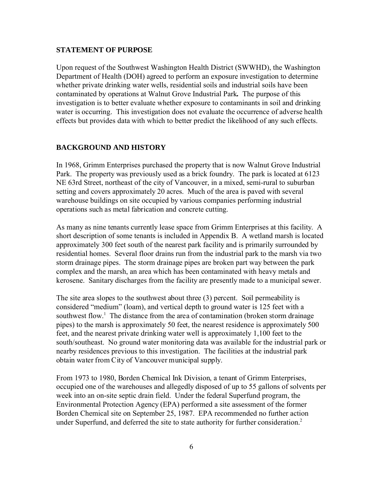#### **STATEMENT OF PURPOSE**

Upon request of the Southwest Washington Health District (SWWHD), the Washington Department of Health (DOH) agreed to perform an exposure investigation to determine whether private drinking water wells, residential soils and industrial soils have been contaminated by operations at Walnut Grove Industrial Park*.* The purpose of this investigation is to better evaluate whether exposure to contaminants in soil and drinking water is occurring. This investigation does not evaluate the occurrence of adverse health effects but provides data with which to better predict the likelihood of any such effects.

#### **BACKGROUND AND HISTORY**

In 1968, Grimm Enterprises purchased the property that is now Walnut Grove Industrial Park. The property was previously used as a brick foundry. The park is located at 6123 NE 63rd Street, northeast of the city of Vancouver, in a mixed, semi-rural to suburban setting and covers approximately 20 acres. Much of the area is paved with several warehouse buildings on site occupied by various companies performing industrial operations such as metal fabrication and concrete cutting.

As many as nine tenants currently lease space from Grimm Enterprises at this facility. A short description of some tenants is included in Appendix B. A wetland marsh is located approximately 300 feet south of the nearest park facility and is primarily surrounded by residential homes. Several floor drains run from the industrial park to the marsh via two storm drainage pipes. The storm drainage pipes are broken part way between the park complex and the marsh, an area which has been contaminated with heavy metals and kerosene. Sanitary discharges from the facility are presently made to a municipal sewer.

The site area slopes to the southwest about three (3) percent. Soil permeability is considered "medium" (loam), and vertical depth to ground water is 125 feet with a southwest flow.<sup>1</sup> The distance from the area of contamination (broken storm drainage pipes) to the marsh is approximately 50 feet, the nearest residence is approximately 500 feet, and the nearest private drinking water well is approximately 1,100 feet to the south/southeast. No ground water monitoring data was available for the industrial park or nearby residences previous to this investigation. The facilities at the industrial park obtain water from City of Vancouver municipal supply.

From 1973 to 1980, Borden Chemical Ink Division, a tenant of Grimm Enterprises, occupied one of the warehouses and allegedly disposed of up to 55 gallons of solvents per week into an on-site septic drain field. Under the federal Superfund program, the Environmental Protection Agency (EPA) performed a site assessment of the former Borden Chemical site on September 25, 1987. EPA recommended no further action under Superfund, and deferred the site to state authority for further consideration.<sup>2</sup>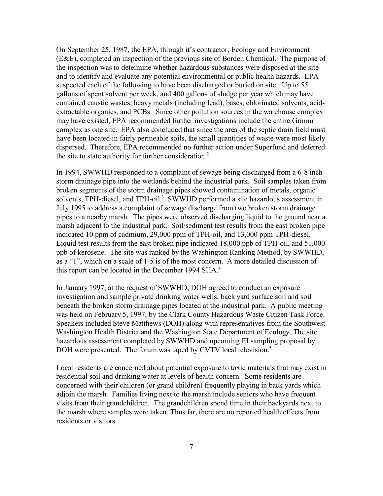On September 25, 1987, the EPA, through it's contractor, Ecology and Environment (E&E), completed an inspection of the previous site of Borden Chemical. The purpose of the inspection was to determine whether hazardous substances were disposed at the site and to identify and evaluate any potential environmental or public health hazards. EPA suspected each of the following to have been discharged or buried on site: Up to 55 gallons of spent solvent per week, and 400 gallons of sludge per year which may have contained caustic wastes, heavy metals (including lead), bases, chlorinated solvents, acidextractable organics, and PCBs. Since other pollution sources in the warehouse complex may have existed, EPA recommended further investigations include the entire Grimm complex as one site. EPA also concluded that since the area of the septic drain field must have been located in fairly permeable soils, the small quantities of waste were most likely dispersed. Therefore, EPA recommended no further action under Superfund and deferred the site to state authority for further consideration.<sup>2</sup>

In 1994, SWWHD responded to a complaint of sewage being discharged from a 6-8 inch storm drainage pipe into the wetlands behind the industrial park. Soil samples taken from broken segments of the storm drainage pipes showed contamination of metals, organic solvents, TPH-diesel, and TPH-oil.<sup>3</sup> SWWHD performed a site hazardous assessment in July 1995 to address a complaint of sewage discharge from two broken storm drainage pipes to a nearby marsh. The pipes were observed discharging liquid to the ground near a marsh adjacent to the industrial park. Soil/sediment test results from the east broken pipe indicated 10 ppm of cadmium, 29,000 ppm of TPH-oil, and 13,000 ppm TPH-diesel. Liquid test results from the east broken pipe indicated 18,000 ppb of TPH-oil, and 51,000 ppb of kerosene. The site was ranked by the Washington Ranking Method, by SWWHD, as a "1", which on a scale of 1-5 is of the most concern. A more detailed discussion of this report can be located in the December 1994 SHA.<sup>4</sup>

In January 1997, at the request of SWWHD, DOH agreed to conduct an exposure investigation and sample private drinking water wells, back yard surface soil and soil beneath the broken storm drainage pipes located at the industrial park. A public meeting was held on February 5, 1997, by the Clark County Hazardous Waste Citizen Task Force. Speakers included Steve Matthews (DOH) along with representatives from the Southwest Washington Health District and the Washington State Department of Ecology. The site hazardous assessment completed by SWWHD and upcoming EI sampling proposal by DOH were presented. The forum was taped by CVTV local television.<sup>5</sup>

Local residents are concerned about potential exposure to toxic materials that may exist in residential soil and drinking water at levels of health concern. Some residents are concerned with their children (or grand children) frequently playing in back yards which adjoin the marsh. Families living next to the marsh include seniors who have frequent visits from their grandchildren. The grandchildren spend time in their backyards next to the marsh where samples were taken. Thus far, there are no reported health effects from residents or visitors.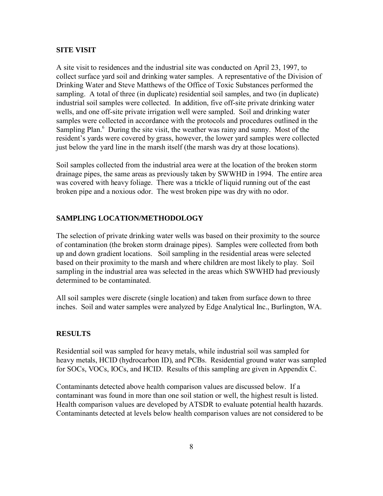#### **SITE VISIT**

A site visit to residences and the industrial site was conducted on April 23, 1997, to collect surface yard soil and drinking water samples. A representative of the Division of Drinking Water and Steve Matthews of the Office of Toxic Substances performed the sampling. A total of three (in duplicate) residential soil samples, and two (in duplicate) industrial soil samples were collected. In addition, five off-site private drinking water wells, and one off-site private irrigation well were sampled. Soil and drinking water samples were collected in accordance with the protocols and procedures outlined in the Sampling Plan.<sup>6</sup> During the site visit, the weather was rainy and sunny. Most of the resident's yards were covered by grass, however, the lower yard samples were collected just below the yard line in the marsh itself (the marsh was dry at those locations).

Soil samples collected from the industrial area were at the location of the broken storm drainage pipes, the same areas as previously taken by SWWHD in 1994. The entire area was covered with heavy foliage. There was a trickle of liquid running out of the east broken pipe and a noxious odor. The west broken pipe was dry with no odor.

## **SAMPLING LOCATION/METHODOLOGY**

The selection of private drinking water wells was based on their proximity to the source of contamination (the broken storm drainage pipes). Samples were collected from both up and down gradient locations. Soil sampling in the residential areas were selected based on their proximity to the marsh and where children are most likely to play. Soil sampling in the industrial area was selected in the areas which SWWHD had previously determined to be contaminated.

All soil samples were discrete (single location) and taken from surface down to three inches. Soil and water samples were analyzed by Edge Analytical Inc., Burlington, WA.

### **RESULTS**

Residential soil was sampled for heavy metals, while industrial soil was sampled for heavy metals, HCID (hydrocarbon ID), and PCBs. Residential ground water was sampled for SOCs, VOCs, IOCs, and HCID. Results of this sampling are given in Appendix C.

Contaminants detected above health comparison values are discussed below. If a contaminant was found in more than one soil station or well, the highest result is listed. Health comparison values are developed by ATSDR to evaluate potential health hazards. Contaminants detected at levels below health comparison values are not considered to be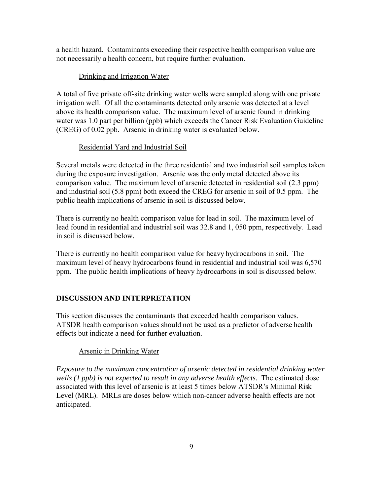a health hazard. Contaminants exceeding their respective health comparison value are not necessarily a health concern, but require further evaluation.

## Drinking and Irrigation Water

A total of five private off-site drinking water wells were sampled along with one private irrigation well. Of all the contaminants detected only arsenic was detected at a level above its health comparison value. The maximum level of arsenic found in drinking water was 1.0 part per billion (ppb) which exceeds the Cancer Risk Evaluation Guideline (CREG) of 0.02 ppb. Arsenic in drinking water is evaluated below.

#### Residential Yard and Industrial Soil

Several metals were detected in the three residential and two industrial soil samples taken during the exposure investigation. Arsenic was the only metal detected above its comparison value. The maximum level of arsenic detected in residential soil (2.3 ppm) and industrial soil (5.8 ppm) both exceed the CREG for arsenic in soil of 0.5 ppm. The public health implications of arsenic in soil is discussed below.

There is currently no health comparison value for lead in soil. The maximum level of lead found in residential and industrial soil was 32.8 and 1, 050 ppm, respectively. Lead in soil is discussed below.

There is currently no health comparison value for heavy hydrocarbons in soil. The maximum level of heavy hydrocarbons found in residential and industrial soil was 6,570 ppm. The public health implications of heavy hydrocarbons in soil is discussed below.

## **DISCUSSION AND INTERPRETATION**

This section discusses the contaminants that exceeded health comparison values. ATSDR health comparison values should not be used as a predictor of adverse health effects but indicate a need for further evaluation.

## Arsenic in Drinking Water

*Exposure to the maximum concentration of arsenic detected in residential drinking water wells (1 ppb) is not expected to result in any adverse health effects.* The estimated dose associated with this level of arsenic is at least 5 times below ATSDR's Minimal Risk Level (MRL). MRLs are doses below which non-cancer adverse health effects are not anticipated.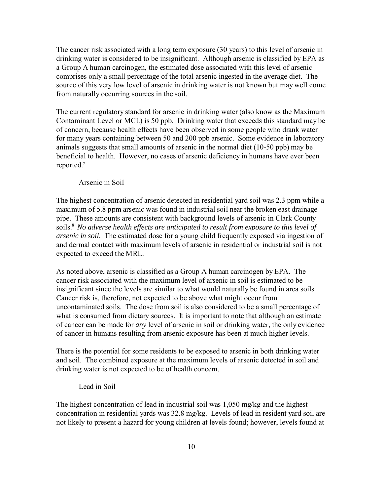The cancer risk associated with a long term exposure (30 years) to this level of arsenic in drinking water is considered to be insignificant. Although arsenic is classified by EPA as a Group A human carcinogen, the estimated dose associated with this level of arsenic comprises only a small percentage of the total arsenic ingested in the average diet. The source of this very low level of arsenic in drinking water is not known but may well come from naturally occurring sources in the soil.

The current regulatory standard for arsenic in drinking water (also know as the Maximum Contaminant Level or MCL) is 50 ppb. Drinking water that exceeds this standard may be of concern, because health effects have been observed in some people who drank water for many years containing between 50 and 200 ppb arsenic. Some evidence in laboratory animals suggests that small amounts of arsenic in the normal diet (10-50 ppb) may be beneficial to health. However, no cases of arsenic deficiency in humans have ever been reported.<sup>7</sup>

#### Arsenic in Soil

The highest concentration of arsenic detected in residential yard soil was 2.3 ppm while a maximum of 5.8 ppm arsenic was found in industrial soil near the broken east drainage pipe. These amounts are consistent with background levels of arsenic in Clark County soils.<sup>8</sup>*No adverse health effects are anticipated to result from exposure to this level of arsenic in soil.* The estimated dose for a young child frequently exposed via ingestion of and dermal contact with maximum levels of arsenic in residential or industrial soil is not expected to exceed the MRL.

As noted above, arsenic is classified as a Group A human carcinogen by EPA. The cancer risk associated with the maximum level of arsenic in soil is estimated to be insignificant since the levels are similar to what would naturally be found in area soils. Cancer risk is, therefore, not expected to be above what might occur from uncontaminated soils. The dose from soil is also considered to be a small percentage of what is consumed from dietary sources. It is important to note that although an estimate of cancer can be made for *any* level of arsenic in soil or drinking water, the only evidence of cancer in humans resulting from arsenic exposure has been at much higher levels.

There is the potential for some residents to be exposed to arsenic in both drinking water and soil. The combined exposure at the maximum levels of arsenic detected in soil and drinking water is not expected to be of health concern.

#### Lead in Soil

The highest concentration of lead in industrial soil was 1,050 mg/kg and the highest concentration in residential yards was 32.8 mg/kg. Levels of lead in resident yard soil are not likely to present a hazard for young children at levels found; however, levels found at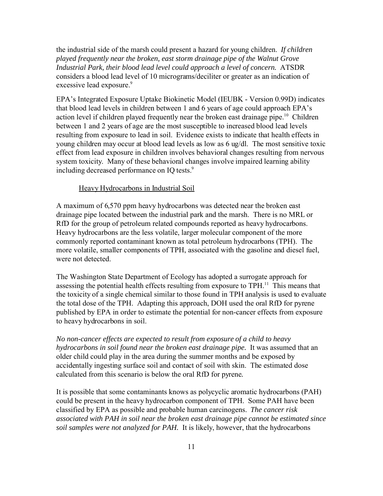the industrial side of the marsh could present a hazard for young children. *If children played frequently near the broken, east storm drainage pipe of the Walnut Grove Industrial Park, their blood lead level could approach a level of concern.* ATSDR considers a blood lead level of 10 micrograms/deciliter or greater as an indication of excessive lead exposure.<sup>9</sup>

EPA's Integrated Exposure Uptake Biokinetic Model (IEUBK - Version 0.99D) indicates that blood lead levels in children between 1 and 6 years of age could approach EPA's action level if children played frequently near the broken east drainage pipe.<sup>10</sup> Children between 1 and 2 years of age are the most susceptible to increased blood lead levels resulting from exposure to lead in soil. Evidence exists to indicate that health effects in young children may occur at blood lead levels as low as 6 ug/dl. The most sensitive toxic effect from lead exposure in children involves behavioral changes resulting from nervous system toxicity. Many of these behavioral changes involve impaired learning ability including decreased performance on IO tests.<sup>9</sup>

#### Heavy Hydrocarbons in Industrial Soil

A maximum of 6,570 ppm heavy hydrocarbons was detected near the broken east drainage pipe located between the industrial park and the marsh. There is no MRL or RfD for the group of petroleum related compounds reported as heavy hydrocarbons. Heavy hydrocarbons are the less volatile, larger molecular component of the more commonly reported contaminant known as total petroleum hydrocarbons (TPH). The more volatile, smaller components of TPH, associated with the gasoline and diesel fuel, were not detected.

The Washington State Department of Ecology has adopted a surrogate approach for assessing the potential health effects resulting from exposure to TPH.<sup>11</sup> This means that the toxicity of a single chemical similar to those found in TPH analysis is used to evaluate the total dose of the TPH. Adapting this approach, DOH used the oral RfD for pyrene published by EPA in order to estimate the potential for non-cancer effects from exposure to heavy hydrocarbons in soil.

*No non-cancer effects are expected to result from exposure of a child to heavy hydrocarbons in soil found near the broken east drainage pipe.* It was assumed that an older child could play in the area during the summer months and be exposed by accidentally ingesting surface soil and contact of soil with skin. The estimated dose calculated from this scenario is below the oral RfD for pyrene*.*

It is possible that some contaminants knows as polycyclic aromatic hydrocarbons (PAH) could be present in the heavy hydrocarbon component of TPH. Some PAH have been classified by EPA as possible and probable human carcinogens. *The cancer risk associated with PAH in soil near the broken east drainage pipe cannot be estimated since soil samples were not analyzed for PAH.* It is likely, however, that the hydrocarbons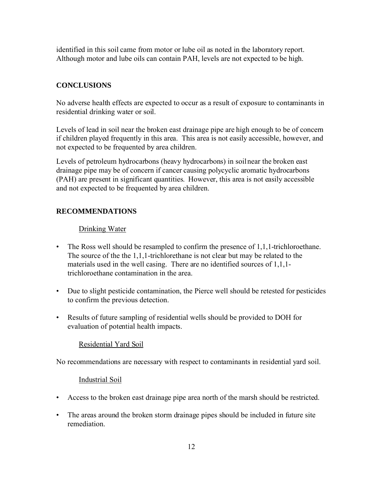identified in this soil came from motor or lube oil as noted in the laboratory report. Although motor and lube oils can contain PAH, levels are not expected to be high.

## **CONCLUSIONS**

No adverse health effects are expected to occur as a result of exposure to contaminants in residential drinking water or soil.

Levels of lead in soil near the broken east drainage pipe are high enough to be of concern if children played frequently in this area. This area is not easily accessible, however, and not expected to be frequented by area children.

Levels of petroleum hydrocarbons (heavy hydrocarbons) in soilnear the broken east drainage pipe may be of concern if cancer causing polycyclic aromatic hydrocarbons (PAH) are present in significant quantities. However, this area is not easily accessible and not expected to be frequented by area children.

## **RECOMMENDATIONS**

## Drinking Water

- The Ross well should be resampled to confirm the presence of 1,1,1-trichloroethane. The source of the the 1,1,1-trichlorethane is not clear but may be related to the materials used in the well casing. There are no identified sources of 1,1,1 trichloroethane contamination in the area.
- Due to slight pesticide contamination, the Pierce well should be retested for pesticides to confirm the previous detection.
- Results of future sampling of residential wells should be provided to DOH for evaluation of potential health impacts.

## Residential Yard Soil

No recommendations are necessary with respect to contaminants in residential yard soil.

#### Industrial Soil

- Access to the broken east drainage pipe area north of the marsh should be restricted.
- The areas around the broken storm drainage pipes should be included in future site remediation.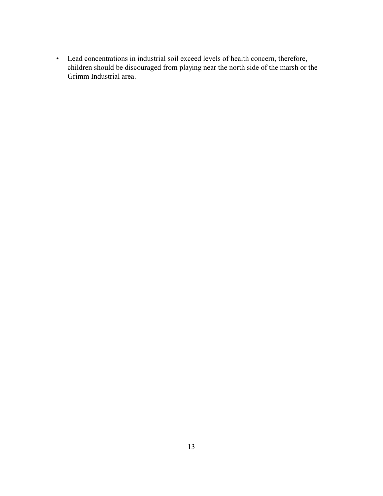• Lead concentrations in industrial soil exceed levels of health concern, therefore, children should be discouraged from playing near the north side of the marsh or the Grimm Industrial area.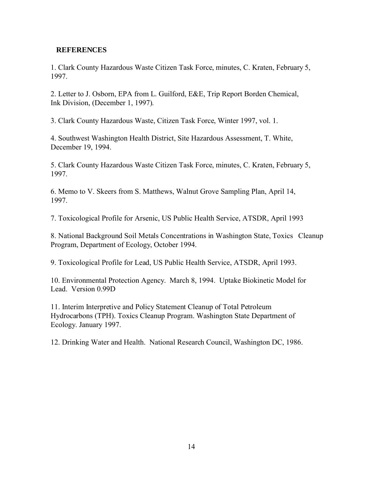## **REFERENCES**

1. Clark County Hazardous Waste Citizen Task Force, minutes, C. Kraten, February 5, 1997.

2. Letter to J. Osborn, EPA from L. Guilford, E&E, Trip Report Borden Chemical, Ink Division, (December 1, 1997).

3. Clark County Hazardous Waste, Citizen Task Force, Winter 1997, vol. 1.

4. Southwest Washington Health District, Site Hazardous Assessment, T. White, December 19, 1994.

5. Clark County Hazardous Waste Citizen Task Force, minutes, C. Kraten, February 5, 1997.

6. Memo to V. Skeers from S. Matthews, Walnut Grove Sampling Plan, April 14, 1997.

7. Toxicological Profile for Arsenic, US Public Health Service, ATSDR, April 1993

8. National Background Soil Metals Concentrations in Washington State, Toxics Cleanup Program, Department of Ecology, October 1994.

9. Toxicological Profile for Lead, US Public Health Service, ATSDR, April 1993.

10. Environmental Protection Agency. March 8, 1994. Uptake Biokinetic Model for Lead. Version 0.99D

11. Interim Interpretive and Policy Statement Cleanup of Total Petroleum Hydrocarbons (TPH). Toxics Cleanup Program. Washington State Department of Ecology. January 1997.

12. Drinking Water and Health. National Research Council, Washington DC, 1986.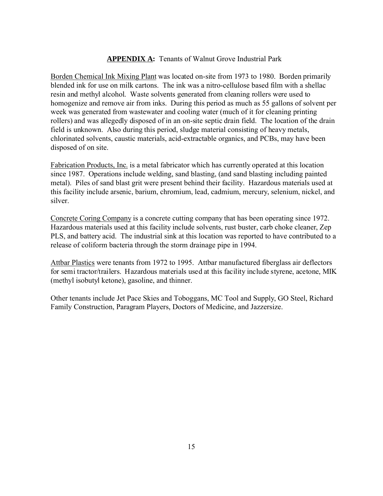## **APPENDIX A:** Tenants of Walnut Grove Industrial Park

Borden Chemical Ink Mixing Plant was located on-site from 1973 to 1980. Borden primarily blended ink for use on milk cartons. The ink was a nitro-cellulose based film with a shellac resin and methyl alcohol. Waste solvents generated from cleaning rollers were used to homogenize and remove air from inks. During this period as much as 55 gallons of solvent per week was generated from wastewater and cooling water (much of it for cleaning printing rollers) and was allegedly disposed of in an on-site septic drain field. The location of the drain field is unknown. Also during this period, sludge material consisting of heavy metals, chlorinated solvents, caustic materials, acid-extractable organics, and PCBs, may have been disposed of on site.

Fabrication Products, Inc. is a metal fabricator which has currently operated at this location since 1987. Operations include welding, sand blasting, (and sand blasting including painted metal). Piles of sand blast grit were present behind their facility. Hazardous materials used at this facility include arsenic, barium, chromium, lead, cadmium, mercury, selenium, nickel, and silver.

Concrete Coring Company is a concrete cutting company that has been operating since 1972. Hazardous materials used at this facility include solvents, rust buster, carb choke cleaner, Zep PLS, and battery acid. The industrial sink at this location was reported to have contributed to a release of coliform bacteria through the storm drainage pipe in 1994.

Attbar Plastics were tenants from 1972 to 1995. Attbar manufactured fiberglass air deflectors for semi tractor/trailers. Hazardous materials used at this facility include styrene, acetone, MIK (methyl isobutyl ketone), gasoline, and thinner.

Other tenants include Jet Pace Skies and Toboggans, MC Tool and Supply, GO Steel, Richard Family Construction, Paragram Players, Doctors of Medicine, and Jazzersize.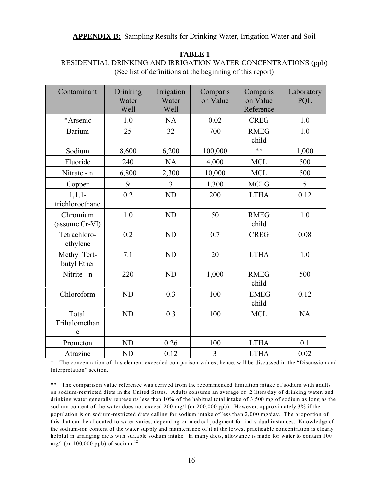| Contaminant                 | Drinking<br>Water<br>Well | Irrigation<br>Water<br>Well | Comparis<br>on Value | Comparis<br>on Value<br>Reference | Laboratory<br>PQL |
|-----------------------------|---------------------------|-----------------------------|----------------------|-----------------------------------|-------------------|
| *Arsenic                    | 1.0                       | NA                          | 0.02                 | <b>CREG</b>                       | 1.0               |
| <b>Barium</b>               | 25                        | 32                          | 700                  | <b>RMEG</b><br>child              | 1.0               |
| Sodium                      | 8,600                     | 6,200                       | 100,000              | **                                | 1,000             |
| Fluoride                    | 240                       | <b>NA</b>                   | 4,000                | <b>MCL</b>                        | 500               |
| Nitrate - n                 | 6,800                     | 2,300                       | 10,000               | <b>MCL</b>                        | 500               |
| Copper                      | 9                         | $\overline{3}$              | 1,300                | <b>MCLG</b>                       | 5                 |
| $1,1,1-$<br>trichloroethane | 0.2                       | <b>ND</b>                   | 200                  | <b>LTHA</b>                       | 0.12              |
| Chromium<br>(assume Cr-VI)  | 1.0                       | <b>ND</b>                   | 50                   | <b>RMEG</b><br>child              | 1.0               |
| Tetrachloro-<br>ethylene    | 0.2                       | <b>ND</b>                   | 0.7                  | <b>CREG</b>                       | 0.08              |
| Methyl Tert-<br>butyl Ether | 7.1                       | <b>ND</b>                   | 20                   | <b>LTHA</b>                       | 1.0               |
| Nitrite - n                 | 220                       | <b>ND</b>                   | 1,000                | <b>RMEG</b><br>child              | 500               |
| Chloroform                  | <b>ND</b>                 | 0.3                         | 100                  | <b>EMEG</b><br>child              | 0.12              |
| Total<br>Trihalomethan<br>e | <b>ND</b>                 | 0.3                         | 100                  | <b>MCL</b>                        | <b>NA</b>         |
| Prometon                    | <b>ND</b>                 | 0.26                        | 100                  | <b>LTHA</b>                       | 0.1               |
| Atrazine                    | ND                        | 0.12                        | 3                    | <b>LTHA</b>                       | 0.02              |

**TABLE 1** RESIDENTIAL DRINKING AND IRRIGATION WATER CONCENTRATIONS (ppb) (See list of definitions at the beginning of this report)

The concentration of this element exceeded comparison values, hence, will be discussed in the "Discussion and Interpretation" section.

\*\* The comparison value reference was derived from the recommended limitation intake of sodium with adults on sodium-restricted diets in the United States. Adults consume an average of 2 liters/day of drinking water, and drinking water generally represents less than 10% of the habitual total intake of 3,500 mg of sodium as long as the sodium content of the water does not exceed 200 mg/l (or 200,000 ppb). However, approximately 3% if the population is on sodium-restricted diets calling for sodium intake of less than 2,000 mg/day. The proportion of this that can be allocated to water varies, depending on medical judgment for individual instances. Knowledge of the sodium-ion content of the water supply and maintenance of it at the lowest practicable concentration is clearly helpful in arranging diets with suitable sodium intake. In many diets, allowance is made for water to contain 100 mg/l (or  $100,000$  ppb) of sodium.<sup>12</sup>